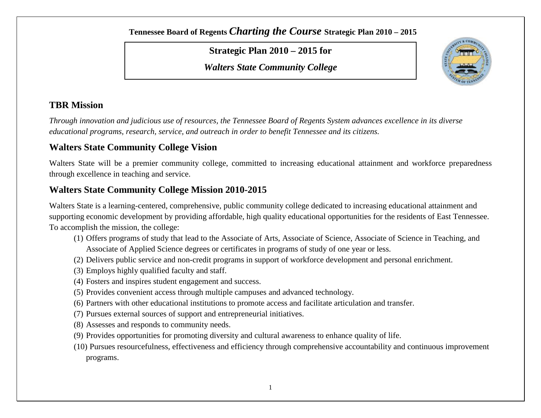**Strategic Plan 2010 – 2015 for**

*Walters State Community College*



### **TBR Mission**

*Through innovation and judicious use of resources, the Tennessee Board of Regents System advances excellence in its diverse educational programs, research, service, and outreach in order to benefit Tennessee and its citizens.*

### **Walters State Community College Vision**

Walters State will be a premier community college, committed to increasing educational attainment and workforce preparedness through excellence in teaching and service.

### **Walters State Community College Mission 2010-2015**

Walters State is a learning-centered, comprehensive, public community college dedicated to increasing educational attainment and supporting economic development by providing affordable, high quality educational opportunities for the residents of East Tennessee. To accomplish the mission, the college:

- (1) Offers programs of study that lead to the Associate of Arts, Associate of Science, Associate of Science in Teaching, and Associate of Applied Science degrees or certificates in programs of study of one year or less.
- (2) Delivers public service and non-credit programs in support of workforce development and personal enrichment.
- (3) Employs highly qualified faculty and staff.
- (4) Fosters and inspires student engagement and success.
- (5) Provides convenient access through multiple campuses and advanced technology.
- (6) Partners with other educational institutions to promote access and facilitate articulation and transfer.
- (7) Pursues external sources of support and entrepreneurial initiatives.
- (8) Assesses and responds to community needs.
- (9) Provides opportunities for promoting diversity and cultural awareness to enhance quality of life.
- (10) Pursues resourcefulness, effectiveness and efficiency through comprehensive accountability and continuous improvement programs.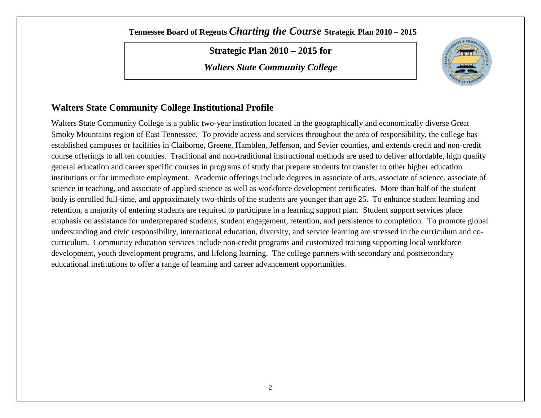**Strategic Plan 2010 – 2015 for**

*Walters State Community College*



### **Walters State Community College Institutional Profile**

Walters State Community College is a public two-year institution located in the geographically and economically diverse Great Smoky Mountains region of East Tennessee. To provide access and services throughout the area of responsibility, the college has established campuses or facilities in Claiborne, Greene, Hamblen, Jefferson, and Sevier counties, and extends credit and non-credit course offerings to all ten counties. Traditional and non-traditional instructional methods are used to deliver affordable, high quality general education and career specific courses in programs of study that prepare students for transfer to other higher education institutions or for immediate employment. Academic offerings include degrees in associate of arts, associate of science, associate of science in teaching, and associate of applied science as well as workforce development certificates. More than half of the student body is enrolled full-time, and approximately two-thirds of the students are younger than age 25. To enhance student learning and retention, a majority of entering students are required to participate in a learning support plan. Student support services place emphasis on assistance for underprepared students, student engagement, retention, and persistence to completion. To promote global understanding and civic responsibility, international education, diversity, and service learning are stressed in the curriculum and cocurriculum. Community education services include non-credit programs and customized training supporting local workforce development, youth development programs, and lifelong learning. The college partners with secondary and postsecondary educational institutions to offer a range of learning and career advancement opportunities.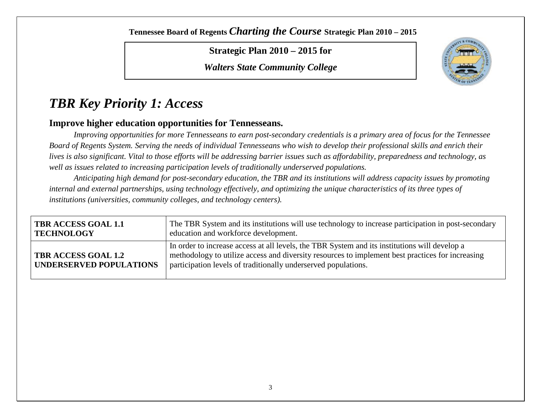**Strategic Plan 2010 – 2015 for**

*Walters State Community College*



# *TBR Key Priority 1: Access*

### **Improve higher education opportunities for Tennesseans.**

*Improving opportunities for more Tennesseans to earn post-secondary credentials is a primary area of focus for the Tennessee Board of Regents System. Serving the needs of individual Tennesseans who wish to develop their professional skills and enrich their lives is also significant. Vital to those efforts will be addressing barrier issues such as affordability, preparedness and technology, as well as issues related to increasing participation levels of traditionally underserved populations.* 

*Anticipating high demand for post-secondary education, the TBR and its institutions will address capacity issues by promoting internal and external partnerships, using technology effectively, and optimizing the unique characteristics of its three types of institutions (universities, community colleges, and technology centers).*

| <b>TBR ACCESS GOAL 1.1</b>                                   | The TBR System and its institutions will use technology to increase participation in post-secondary                                                                                                                                                                 |
|--------------------------------------------------------------|---------------------------------------------------------------------------------------------------------------------------------------------------------------------------------------------------------------------------------------------------------------------|
| <b>TECHNOLOGY</b>                                            | education and workforce development.                                                                                                                                                                                                                                |
| <b>TBR ACCESS GOAL 1.2</b><br><b>UNDERSERVED POPULATIONS</b> | In order to increase access at all levels, the TBR System and its institutions will develop a<br>methodology to utilize access and diversity resources to implement best practices for increasing<br>participation levels of traditionally underserved populations. |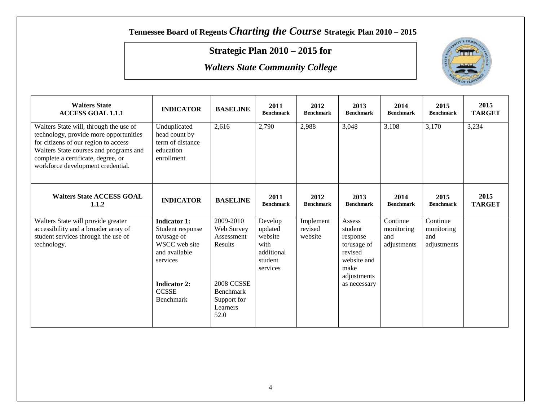## **Strategic Plan 2010 – 2015 for**



| <b>Walters State</b><br><b>ACCESS GOAL 1.1.1</b>                                                                                                                                                                                              | <b>INDICATOR</b>                                                                                                                                         | <b>BASELINE</b>                                                                                                       | 2011<br><b>Benchmark</b>                                                   | 2012<br><b>Benchmark</b>        | 2013<br><b>Benchmark</b>                                                                                      | 2014<br><b>Benchmark</b>                     | 2015<br><b>Benchmark</b>                     | 2015<br><b>TARGET</b> |
|-----------------------------------------------------------------------------------------------------------------------------------------------------------------------------------------------------------------------------------------------|----------------------------------------------------------------------------------------------------------------------------------------------------------|-----------------------------------------------------------------------------------------------------------------------|----------------------------------------------------------------------------|---------------------------------|---------------------------------------------------------------------------------------------------------------|----------------------------------------------|----------------------------------------------|-----------------------|
| Walters State will, through the use of<br>technology, provide more opportunities<br>for citizens of our region to access<br>Walters State courses and programs and<br>complete a certificate, degree, or<br>workforce development credential. | Unduplicated<br>head count by<br>term of distance<br>education<br>enrollment                                                                             | 2,616                                                                                                                 | 2,790                                                                      | 2,988                           | 3,048                                                                                                         | 3,108                                        | 3,170                                        | 3,234                 |
| <b>Walters State ACCESS GOAL</b><br>1.1.2                                                                                                                                                                                                     | <b>INDICATOR</b>                                                                                                                                         | <b>BASELINE</b>                                                                                                       | 2011<br><b>Benchmark</b>                                                   | 2012<br><b>Benchmark</b>        | 2013<br><b>Benchmark</b>                                                                                      | 2014<br><b>Benchmark</b>                     | 2015<br><b>Benchmark</b>                     | 2015<br><b>TARGET</b> |
| Walters State will provide greater<br>accessibility and a broader array of<br>student services through the use of<br>technology.                                                                                                              | <b>Indicator 1:</b><br>Student response<br>to/usage of<br>WSCC web site<br>and available<br>services<br><b>Indicator 2:</b><br><b>CCSSE</b><br>Benchmark | 2009-2010<br>Web Survey<br>Assessment<br>Results<br>2008 CCSSE<br><b>Benchmark</b><br>Support for<br>Learners<br>52.0 | Develop<br>updated<br>website<br>with<br>additional<br>student<br>services | Implement<br>revised<br>website | Assess<br>student<br>response<br>to/usage of<br>revised<br>website and<br>make<br>adjustments<br>as necessary | Continue<br>monitoring<br>and<br>adjustments | Continue<br>monitoring<br>and<br>adjustments |                       |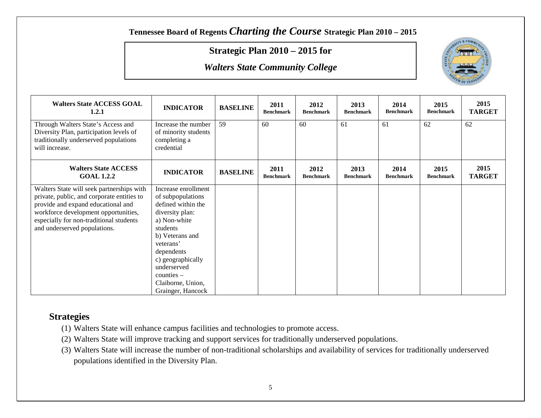### **Strategic Plan 2010 – 2015 for**

*Walters State Community College*



| <b>Walters State ACCESS GOAL</b><br>1.2.1                                                                                                | <b>INDICATOR</b>                                                          | <b>BASELINE</b> | 2011<br><b>Benchmark</b> | 2012<br><b>Benchmark</b> | 2013<br><b>Benchmark</b> | 2014<br><b>Benchmark</b> | 2015<br><b>Benchmark</b> | 2015<br><b>TARGET</b> |
|------------------------------------------------------------------------------------------------------------------------------------------|---------------------------------------------------------------------------|-----------------|--------------------------|--------------------------|--------------------------|--------------------------|--------------------------|-----------------------|
| Through Walters State's Access and<br>Diversity Plan, participation levels of<br>traditionally underserved populations<br>will increase. | Increase the number<br>of minority students<br>completing a<br>credential | 59              | 60                       | 60                       | 61                       | 61                       | 62                       | 62                    |
| <b>Walters State ACCESS</b><br><b>GOAL 1.2.2</b>                                                                                         | <b>INDICATOR</b>                                                          | <b>BASELINE</b> | 2011<br><b>Benchmark</b> | 2012<br><b>Benchmark</b> | 2013<br><b>Benchmark</b> | 2014<br><b>Benchmark</b> | 2015<br><b>Benchmark</b> | 2015<br><b>TARGET</b> |
| Walters State will seek partnerships with                                                                                                | Increase enrollment                                                       |                 |                          |                          |                          |                          |                          |                       |
| private, public, and corporate entities to                                                                                               | of subpopulations                                                         |                 |                          |                          |                          |                          |                          |                       |
| provide and expand educational and<br>workforce development opportunities,                                                               | defined within the<br>diversity plan:                                     |                 |                          |                          |                          |                          |                          |                       |
| especially for non-traditional students                                                                                                  | a) Non-white                                                              |                 |                          |                          |                          |                          |                          |                       |
| and underserved populations.                                                                                                             | students                                                                  |                 |                          |                          |                          |                          |                          |                       |
|                                                                                                                                          | b) Veterans and                                                           |                 |                          |                          |                          |                          |                          |                       |
|                                                                                                                                          | veterans'                                                                 |                 |                          |                          |                          |                          |                          |                       |
|                                                                                                                                          | dependents                                                                |                 |                          |                          |                          |                          |                          |                       |
|                                                                                                                                          | c) geographically                                                         |                 |                          |                          |                          |                          |                          |                       |
|                                                                                                                                          | underserved                                                               |                 |                          |                          |                          |                          |                          |                       |
|                                                                                                                                          | $counties -$                                                              |                 |                          |                          |                          |                          |                          |                       |
|                                                                                                                                          | Claiborne, Union,                                                         |                 |                          |                          |                          |                          |                          |                       |
|                                                                                                                                          | Grainger, Hancock                                                         |                 |                          |                          |                          |                          |                          |                       |

- (1) Walters State will enhance campus facilities and technologies to promote access.
- (2) Walters State will improve tracking and support services for traditionally underserved populations.
- (3) Walters State will increase the number of non-traditional scholarships and availability of services for traditionally underserved populations identified in the Diversity Plan.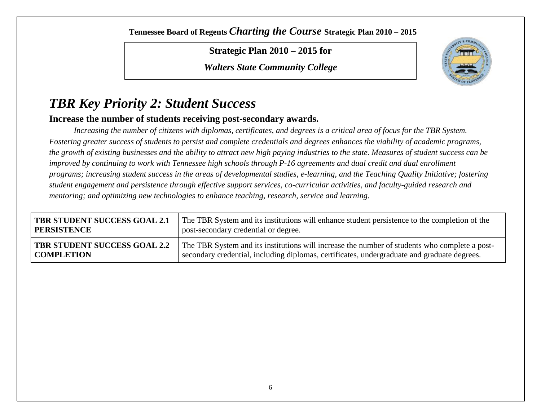**Strategic Plan 2010 – 2015 for**

*Walters State Community College*



# *TBR Key Priority 2: Student Success*

#### **Increase the number of students receiving post-secondary awards.**

*Increasing the number of citizens with diplomas, certificates, and degrees is a critical area of focus for the TBR System. Fostering greater success of students to persist and complete credentials and degrees enhances the viability of academic programs, the growth of existing businesses and the ability to attract new high paying industries to the state. Measures of student success can be improved by continuing to work with Tennessee high schools through P-16 agreements and dual credit and dual enrollment programs; increasing student success in the areas of developmental studies, e-learning, and the Teaching Quality Initiative; fostering student engagement and persistence through effective support services, co-curricular activities, and faculty-guided research and mentoring; and optimizing new technologies to enhance teaching, research, service and learning.* 

| <b>TBR STUDENT SUCCESS GOAL 2.1</b> | The TBR System and its institutions will enhance student persistence to the completion of the |
|-------------------------------------|-----------------------------------------------------------------------------------------------|
| <b>PERSISTENCE</b>                  | post-secondary credential or degree.                                                          |
| <b>TBR STUDENT SUCCESS GOAL 2.2</b> | The TBR System and its institutions will increase the number of students who complete a post- |
| <b>COMPLETION</b>                   | secondary credential, including diplomas, certificates, undergraduate and graduate degrees.   |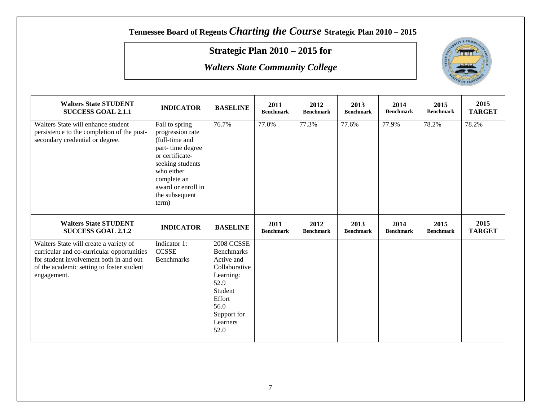## **Strategic Plan 2010 – 2015 for**



| <b>Walters State STUDENT</b><br><b>SUCCESS GOAL 2.1.1</b>                                                                                                                                   | <b>INDICATOR</b>                                                                                                                                                                              | <b>BASELINE</b>                                                                                                                                    | 2011<br><b>Benchmark</b> | 2012<br><b>Benchmark</b> | 2013<br><b>Benchmark</b> | 2014<br><b>Benchmark</b> | 2015<br><b>Benchmark</b> | 2015<br><b>TARGET</b> |
|---------------------------------------------------------------------------------------------------------------------------------------------------------------------------------------------|-----------------------------------------------------------------------------------------------------------------------------------------------------------------------------------------------|----------------------------------------------------------------------------------------------------------------------------------------------------|--------------------------|--------------------------|--------------------------|--------------------------|--------------------------|-----------------------|
| Walters State will enhance student<br>persistence to the completion of the post-<br>secondary credential or degree.                                                                         | Fall to spring<br>progression rate<br>(full-time and<br>part-time degree<br>or certificate-<br>seeking students<br>who either<br>complete an<br>award or enroll in<br>the subsequent<br>term) | 76.7%                                                                                                                                              | 77.0%                    | 77.3%                    | 77.6%                    | 77.9%                    | 78.2%                    | 78.2%                 |
| <b>Walters State STUDENT</b><br><b>SUCCESS GOAL 2.1.2</b>                                                                                                                                   | <b>INDICATOR</b>                                                                                                                                                                              | <b>BASELINE</b>                                                                                                                                    | 2011<br><b>Benchmark</b> | 2012<br><b>Benchmark</b> | 2013<br><b>Benchmark</b> | 2014<br><b>Benchmark</b> | 2015<br><b>Benchmark</b> | 2015<br><b>TARGET</b> |
| Walters State will create a variety of<br>curricular and co-curricular opportunities<br>for student involvement both in and out<br>of the academic setting to foster student<br>engagement. | Indicator 1:<br><b>CCSSE</b><br><b>Benchmarks</b>                                                                                                                                             | <b>2008 CCSSE</b><br><b>Benchmarks</b><br>Active and<br>Collaborative<br>Learning:<br>52.9<br>Student<br>Effort<br>56.0<br>Support for<br>Learners |                          |                          |                          |                          |                          |                       |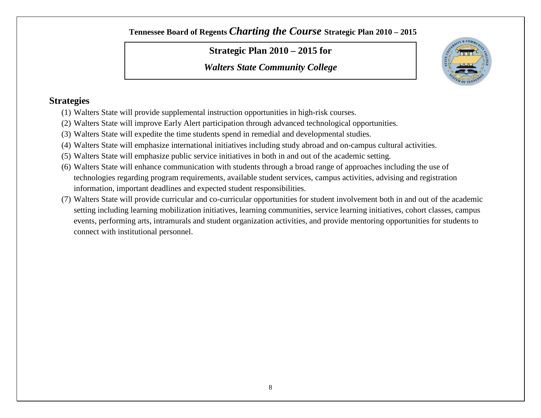### **Strategic Plan 2010 – 2015 for**

*Walters State Community College*



- (1) Walters State will provide supplemental instruction opportunities in high-risk courses.
- (2) Walters State will improve Early Alert participation through advanced technological opportunities.
- (3) Walters State will expedite the time students spend in remedial and developmental studies.
- (4) Walters State will emphasize international initiatives including study abroad and on-campus cultural activities.
- (5) Walters State will emphasize public service initiatives in both in and out of the academic setting.
- (6) Walters State will enhance communication with students through a broad range of approaches including the use of technologies regarding program requirements, available student services, campus activities, advising and registration information, important deadlines and expected student responsibilities.
- (7) Walters State will provide curricular and co-curricular opportunities for student involvement both in and out of the academic setting including learning mobilization initiatives, learning communities, service learning initiatives, cohort classes, campus events, performing arts, intramurals and student organization activities, and provide mentoring opportunities for students to connect with institutional personnel.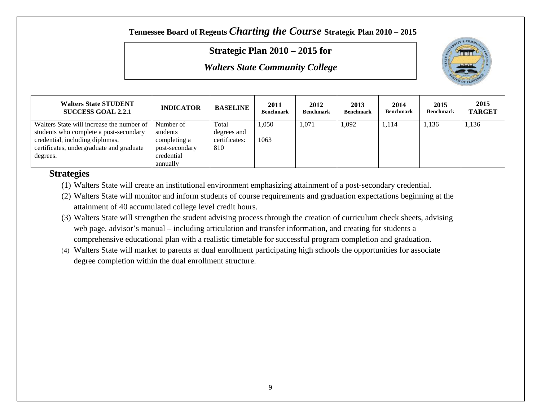### **Strategic Plan 2010 – 2015 for**

*Walters State Community College*



| <b>Walters State STUDENT</b><br><b>SUCCESS GOAL 2.2.1</b> | <b>INDICATOR</b> | <b>BASELINE</b> | 2011<br><b>Benchmark</b> | 2012<br><b>Benchmark</b> | 2013<br><b>Benchmark</b> | 2014<br><b>Benchmark</b> | 2015<br><b>Benchmark</b> | 2015<br><b>TARGET</b> |
|-----------------------------------------------------------|------------------|-----------------|--------------------------|--------------------------|--------------------------|--------------------------|--------------------------|-----------------------|
| Walters State will increase the number of                 | Number of        | Total           | 1.050                    | 1,071                    | 1,092                    | 1,114                    | 1,136                    | 1,136                 |
| students who complete a post-secondary                    | students         | degrees and     |                          |                          |                          |                          |                          |                       |
| credential, including diplomas,                           | completing a     | certificates:   | 1063                     |                          |                          |                          |                          |                       |
| certificates, undergraduate and graduate                  | post-secondary   | 810             |                          |                          |                          |                          |                          |                       |
| degrees.                                                  | credential       |                 |                          |                          |                          |                          |                          |                       |
|                                                           | annually         |                 |                          |                          |                          |                          |                          |                       |

- (1) Walters State will create an institutional environment emphasizing attainment of a post-secondary credential.
- (2) Walters State will monitor and inform students of course requirements and graduation expectations beginning at the attainment of 40 accumulated college level credit hours.
- (3) Walters State will strengthen the student advising process through the creation of curriculum check sheets, advising web page, advisor's manual – including articulation and transfer information, and creating for students a comprehensive educational plan with a realistic timetable for successful program completion and graduation.
- (4) Walters State will market to parents at dual enrollment participating high schools the opportunities for associate degree completion within the dual enrollment structure.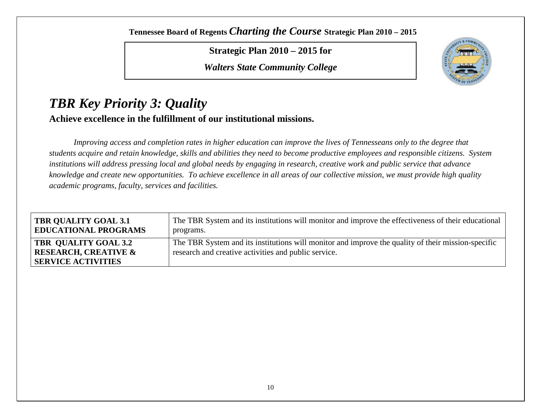**Strategic Plan 2010 – 2015 for**

*Walters State Community College*



## *TBR Key Priority 3: Quality* **Achieve excellence in the fulfillment of our institutional missions.**

*Improving access and completion rates in higher education can improve the lives of Tennesseans only to the degree that students acquire and retain knowledge, skills and abilities they need to become productive employees and responsible citizens. System institutions will address pressing local and global needs by engaging in research, creative work and public service that advance knowledge and create new opportunities. To achieve excellence in all areas of our collective mission, we must provide high quality academic programs, faculty, services and facilities.*

| <b>TBR QUALITY GOAL 3.1</b><br><b>EDUCATIONAL PROGRAMS</b> | The TBR System and its institutions will monitor and improve the effectiveness of their educational<br>programs. |
|------------------------------------------------------------|------------------------------------------------------------------------------------------------------------------|
| <b>TBR QUALITY GOAL 3.2</b>                                | The TBR System and its institutions will monitor and improve the quality of their mission-specific               |
| <b>RESEARCH, CREATIVE &amp;</b>                            | research and creative activities and public service.                                                             |
| <b>SERVICE ACTIVITIES</b>                                  |                                                                                                                  |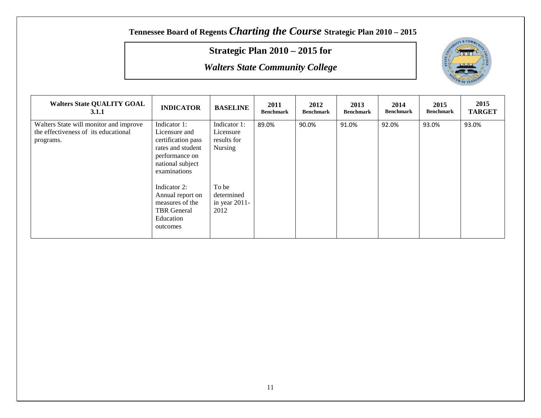## **Strategic Plan 2010 – 2015 for**



| <b>Walters State QUALITY GOAL</b><br><b>3.1.1</b>                                           | <b>INDICATOR</b>                                                                                                               | <b>BASELINE</b>                                     | 2011<br><b>Benchmark</b> | 2012<br><b>Benchmark</b> | 2013<br><b>Benchmark</b> | 2014<br><b>Benchmark</b> | 2015<br><b>Benchmark</b> | 2015<br><b>TARGET</b> |
|---------------------------------------------------------------------------------------------|--------------------------------------------------------------------------------------------------------------------------------|-----------------------------------------------------|--------------------------|--------------------------|--------------------------|--------------------------|--------------------------|-----------------------|
| Walters State will monitor and improve<br>the effectiveness of its educational<br>programs. | Indicator 1:<br>Licensure and<br>certification pass<br>rates and student<br>performance on<br>national subject<br>examinations | Indicator 1:<br>Licensure<br>results for<br>Nursing | 89.0%                    | 90.0%                    | 91.0%                    | 92.0%                    | 93.0%                    | 93.0%                 |
|                                                                                             | Indicator 2:<br>Annual report on<br>measures of the<br><b>TBR</b> General<br>Education<br>outcomes                             | To be<br>determined<br>in year $2011$ -<br>2012     |                          |                          |                          |                          |                          |                       |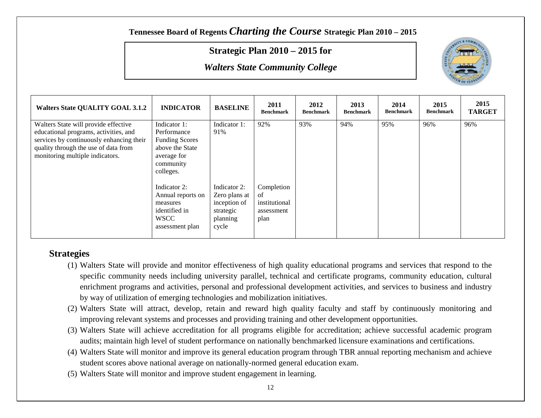### **Strategic Plan 2010 – 2015 for**

*Walters State Community College*



| <b>Walters State QUALITY GOAL 3.1.2</b>                                                                                                                                                              | <b>INDICATOR</b>                                                                                                 | <b>BASELINE</b>                                                                 | 2011<br><b>Benchmark</b>                                | 2012<br><b>Benchmark</b> | 2013<br><b>Benchmark</b> | 2014<br><b>Benchmark</b> | 2015<br><b>Benchmark</b> | 2015<br><b>TARGET</b> |
|------------------------------------------------------------------------------------------------------------------------------------------------------------------------------------------------------|------------------------------------------------------------------------------------------------------------------|---------------------------------------------------------------------------------|---------------------------------------------------------|--------------------------|--------------------------|--------------------------|--------------------------|-----------------------|
| Walters State will provide effective<br>educational programs, activities, and<br>services by continuously enhancing their<br>quality through the use of data from<br>monitoring multiple indicators. | Indicator 1:<br>Performance<br><b>Funding Scores</b><br>above the State<br>average for<br>community<br>colleges. | Indicator 1:<br>91%                                                             | 92%                                                     | 93%                      | 94%                      | 95%                      | 96%                      | 96%                   |
|                                                                                                                                                                                                      | Indicator 2:<br>Annual reports on<br>measures<br>identified in<br><b>WSCC</b><br>assessment plan                 | Indicator 2:<br>Zero plans at<br>inception of<br>strategic<br>planning<br>cycle | Completion<br>of<br>institutional<br>assessment<br>plan |                          |                          |                          |                          |                       |

- (1) Walters State will provide and monitor effectiveness of high quality educational programs and services that respond to the specific community needs including university parallel, technical and certificate programs, community education, cultural enrichment programs and activities, personal and professional development activities, and services to business and industry by way of utilization of emerging technologies and mobilization initiatives.
- (2) Walters State will attract, develop, retain and reward high quality faculty and staff by continuously monitoring and improving relevant systems and processes and providing training and other development opportunities.
- (3) Walters State will achieve accreditation for all programs eligible for accreditation; achieve successful academic program audits; maintain high level of student performance on nationally benchmarked licensure examinations and certifications.
- (4) Walters State will monitor and improve its general education program through TBR annual reporting mechanism and achieve student scores above national average on nationally-normed general education exam.
- (5) Walters State will monitor and improve student engagement in learning.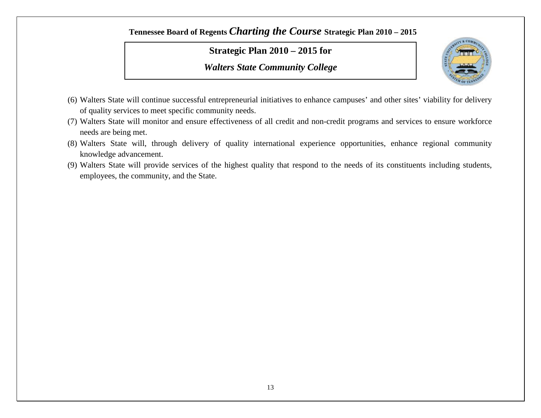### **Strategic Plan 2010 – 2015 for**



- (6) Walters State will continue successful entrepreneurial initiatives to enhance campuses' and other sites' viability for delivery of quality services to meet specific community needs.
- (7) Walters State will monitor and ensure effectiveness of all credit and non-credit programs and services to ensure workforce needs are being met.
- (8) Walters State will, through delivery of quality international experience opportunities, enhance regional community knowledge advancement.
- (9) Walters State will provide services of the highest quality that respond to the needs of its constituents including students, employees, the community, and the State.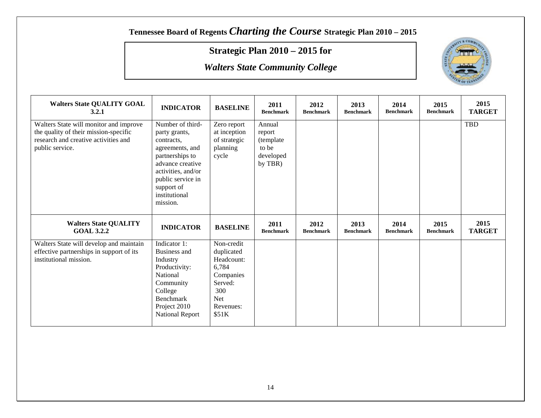## **Strategic Plan 2010 – 2015 for**



| <b>Walters State QUALITY GOAL</b><br>3.2.1                                                                                                 | <b>INDICATOR</b>                                                                                                                                                                                | <b>BASELINE</b>                                                  | 2011<br><b>Benchmark</b>                                        | 2012<br><b>Benchmark</b> | 2013<br><b>Benchmark</b> | 2014<br><b>Benchmark</b> | 2015<br><b>Benchmark</b> | 2015<br><b>TARGET</b> |
|--------------------------------------------------------------------------------------------------------------------------------------------|-------------------------------------------------------------------------------------------------------------------------------------------------------------------------------------------------|------------------------------------------------------------------|-----------------------------------------------------------------|--------------------------|--------------------------|--------------------------|--------------------------|-----------------------|
| Walters State will monitor and improve<br>the quality of their mission-specific<br>research and creative activities and<br>public service. | Number of third-<br>party grants,<br>contracts,<br>agreements, and<br>partnerships to<br>advance creative<br>activities, and/or<br>public service in<br>support of<br>institutional<br>mission. | Zero report<br>at inception<br>of strategic<br>planning<br>cycle | Annual<br>report<br>(template)<br>to be<br>developed<br>by TBR) |                          |                          |                          |                          | TBD                   |
| <b>Walters State QUALITY</b><br><b>GOAL 3.2.2</b>                                                                                          | <b>INDICATOR</b>                                                                                                                                                                                | <b>BASELINE</b>                                                  | 2011<br><b>Benchmark</b>                                        | 2012<br><b>Benchmark</b> | 2013<br><b>Benchmark</b> | 2014<br><b>Benchmark</b> | 2015<br><b>Benchmark</b> | 2015<br><b>TARGET</b> |
| Walters State will develop and maintain<br>effective partnerships in support of its<br>institutional mission.                              | Indicator 1:<br>Business and<br>Industry                                                                                                                                                        | Non-credit<br>duplicated<br>Headcount:                           |                                                                 |                          |                          |                          |                          |                       |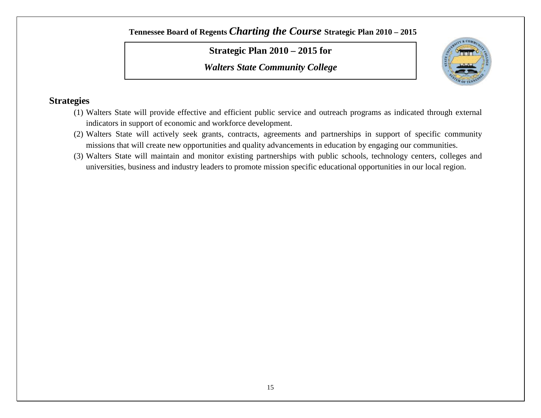**Strategic Plan 2010 – 2015 for**

*Walters State Community College*



- (1) Walters State will provide effective and efficient public service and outreach programs as indicated through external indicators in support of economic and workforce development.
- (2) Walters State will actively seek grants, contracts, agreements and partnerships in support of specific community missions that will create new opportunities and quality advancements in education by engaging our communities.
- (3) Walters State will maintain and monitor existing partnerships with public schools, technology centers, colleges and universities, business and industry leaders to promote mission specific educational opportunities in our local region.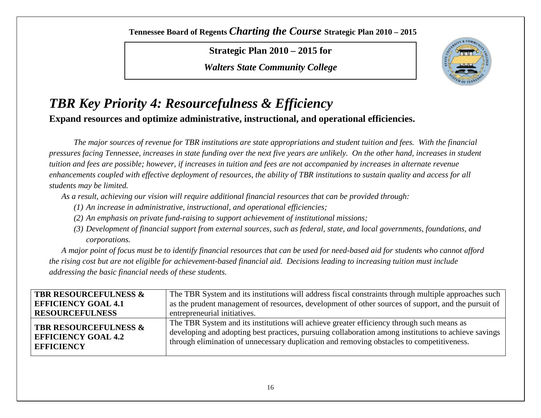**Strategic Plan 2010 – 2015 for**

*Walters State Community College*



## *TBR Key Priority 4: Resourcefulness & Efficiency* **Expand resources and optimize administrative, instructional, and operational efficiencies.**

*The major sources of revenue for TBR institutions are state appropriations and student tuition and fees. With the financial pressures facing Tennessee, increases in state funding over the next five years are unlikely. On the other hand, increases in student tuition and fees are possible; however, if increases in tuition and fees are not accompanied by increases in alternate revenue enhancements coupled with effective deployment of resources, the ability of TBR institutions to sustain quality and access for all students may be limited.* 

*As a result, achieving our vision will require additional financial resources that can be provided through:* 

- *(1) An increase in administrative, instructional, and operational efficiencies;*
- *(2) An emphasis on private fund-raising to support achievement of institutional missions;*
- *(3) Development of financial support from external sources, such as federal, state, and local governments, foundations, and corporations.*

*A major point of focus must be to identify financial resources that can be used for need-based aid for students who cannot afford the rising cost but are not eligible for achievement-based financial aid. Decisions leading to increasing tuition must include addressing the basic financial needs of these students.*

| <b>TBR RESOURCEFULNESS &amp;</b>                                                    | The TBR System and its institutions will address fiscal constraints through multiple approaches such                                                                                                                                                                                           |
|-------------------------------------------------------------------------------------|------------------------------------------------------------------------------------------------------------------------------------------------------------------------------------------------------------------------------------------------------------------------------------------------|
| <b>EFFICIENCY GOAL 4.1</b>                                                          | as the prudent management of resources, development of other sources of support, and the pursuit of                                                                                                                                                                                            |
| <b>RESOURCEFULNESS</b>                                                              | entrepreneurial initiatives.                                                                                                                                                                                                                                                                   |
| <b>TBR RESOURCEFULNESS &amp;</b><br><b>EFFICIENCY GOAL 4.2</b><br><b>EFFICIENCY</b> | The TBR System and its institutions will achieve greater efficiency through such means as<br>developing and adopting best practices, pursuing collaboration among institutions to achieve savings<br>through elimination of unnecessary duplication and removing obstacles to competitiveness. |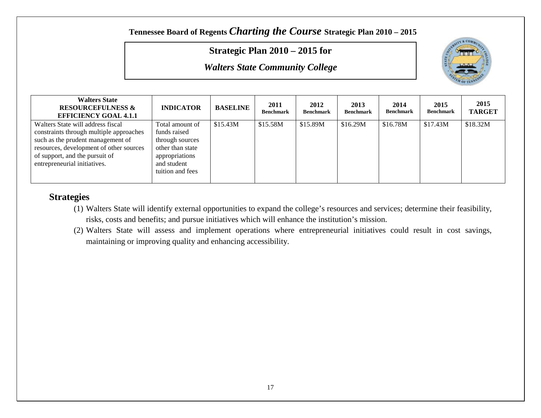#### **Strategic Plan 2010 – 2015 for**

*Walters State Community College*



| <b>Walters State</b><br><b>RESOURCEFULNESS &amp;</b><br><b>EFFICIENCY GOAL 4.1.1</b> | <b>INDICATOR</b> | <b>BASELINE</b> | 2011<br><b>Benchmark</b> | 2012<br><b>Benchmark</b> | 2013<br><b>Benchmark</b> | 2014<br><b>Benchmark</b> | 2015<br><b>Benchmark</b> | 2015<br><b>TARGET</b> |
|--------------------------------------------------------------------------------------|------------------|-----------------|--------------------------|--------------------------|--------------------------|--------------------------|--------------------------|-----------------------|
| Walters State will address fiscal                                                    | Total amount of  | \$15.43M        | \$15.58M                 | \$15.89M                 | \$16.29M                 | \$16.78M                 | \$17.43M                 | \$18.32M              |
| constraints through multiple approaches                                              | funds raised     |                 |                          |                          |                          |                          |                          |                       |
| such as the prudent management of                                                    | through sources  |                 |                          |                          |                          |                          |                          |                       |
| resources, development of other sources                                              | other than state |                 |                          |                          |                          |                          |                          |                       |
| of support, and the pursuit of                                                       | appropriations   |                 |                          |                          |                          |                          |                          |                       |
| entrepreneurial initiatives.                                                         | and student      |                 |                          |                          |                          |                          |                          |                       |
|                                                                                      | tuition and fees |                 |                          |                          |                          |                          |                          |                       |
|                                                                                      |                  |                 |                          |                          |                          |                          |                          |                       |

- (1) Walters State will identify external opportunities to expand the college's resources and services; determine their feasibility, risks, costs and benefits; and pursue initiatives which will enhance the institution's mission.
- (2) Walters State will assess and implement operations where entrepreneurial initiatives could result in cost savings, maintaining or improving quality and enhancing accessibility.